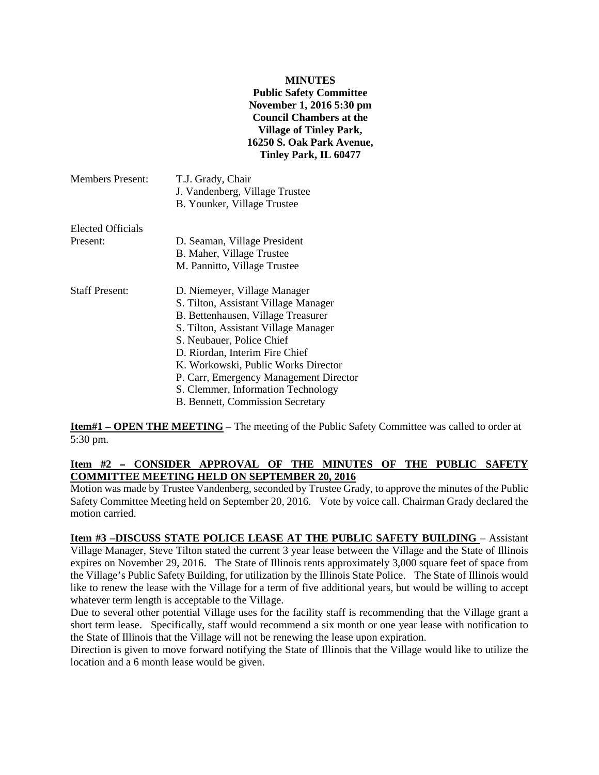#### **MINUTES**

**Public Safety Committee November 1, 2016 5:30 pm Council Chambers at the Village of Tinley Park, 16250 S. Oak Park Avenue, Tinley Park, IL 60477**

| <b>Members Present:</b> | T.J. Grady, Chair<br>J. Vandenberg, Village Trustee<br>B. Younker, Village Trustee |
|-------------------------|------------------------------------------------------------------------------------|
| Elected Officials       |                                                                                    |
| Present:                | D. Seaman, Village President                                                       |
|                         | B. Maher, Village Trustee                                                          |
|                         | M. Pannitto, Village Trustee                                                       |
| <b>Staff Present:</b>   | D. Niemeyer, Village Manager                                                       |
|                         | S. Tilton, Assistant Village Manager                                               |
|                         | B. Bettenhausen, Village Treasurer                                                 |
|                         | S. Tilton, Assistant Village Manager                                               |
|                         | S. Neubauer, Police Chief                                                          |
|                         | D. Riordan, Interim Fire Chief                                                     |
|                         | K. Workowski, Public Works Director                                                |
|                         |                                                                                    |
|                         | S. Clemmer, Information Technology                                                 |
|                         | B. Bennett, Commission Secretary                                                   |
|                         | P. Carr, Emergency Management Director                                             |

**Item#1 – OPEN THE MEETING** – The meeting of the Public Safety Committee was called to order at 5:30 pm.

# Item #2 - CONSIDER APPROVAL OF THE MINUTES OF THE PUBLIC SAFETY **COMMITTEE MEETING HELD ON SEPTEMBER 20, 2016**

Motion was made by Trustee Vandenberg, seconded by Trustee Grady, to approve the minutes of the Public Safety Committee Meeting held on September 20, 2016. Vote by voice call. Chairman Grady declared the motion carried.

### **Item #3 –DISCUSS STATE POLICE LEASE AT THE PUBLIC SAFETY BUILDING** – Assistant Village Manager, Steve Tilton stated the current 3 year lease between the Village and the State of Illinois expires on November 29, 2016. The State of Illinois rents approximately 3,000 square feet of space from the Village's Public Safety Building, for utilization by the Illinois State Police. The State of Illinois would like to renew the lease with the Village for a term of five additional years, but would be willing to accept whatever term length is acceptable to the Village.

Due to several other potential Village uses for the facility staff is recommending that the Village grant a short term lease. Specifically, staff would recommend a six month or one year lease with notification to the State of Illinois that the Village will not be renewing the lease upon expiration.

Direction is given to move forward notifying the State of Illinois that the Village would like to utilize the location and a 6 month lease would be given.